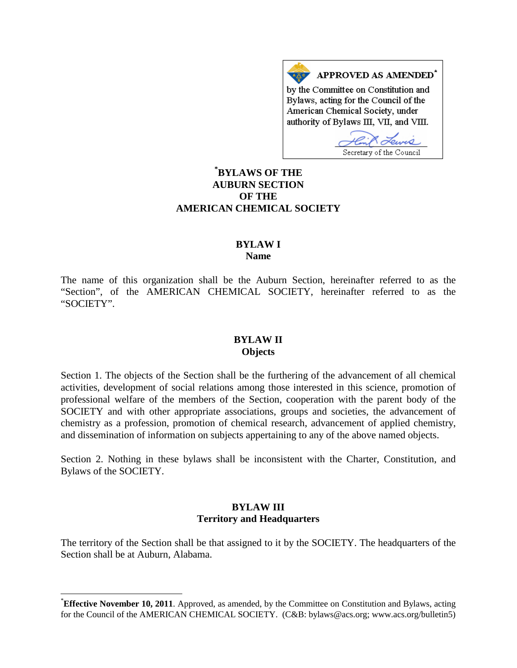APPROVED AS AMENDED<sup>\*</sup> by the Committee on Constitution and Bylaws, acting for the Council of the American Chemical Society, under authority of Bylaws III, VII, and VIII.

Secretary of the Council

## **[\\*](#page-0-0) BYLAWS OF THE AUBURN SECTION OF THE AMERICAN CHEMICAL SOCIETY**

### **BYLAW I Name**

The name of this organization shall be the Auburn Section, hereinafter referred to as the "Section", of the AMERICAN CHEMICAL SOCIETY, hereinafter referred to as the "SOCIETY".

#### **BYLAW II Objects**

Section 1. The objects of the Section shall be the furthering of the advancement of all chemical activities, development of social relations among those interested in this science, promotion of professional welfare of the members of the Section, cooperation with the parent body of the SOCIETY and with other appropriate associations, groups and societies, the advancement of chemistry as a profession, promotion of chemical research, advancement of applied chemistry, and dissemination of information on subjects appertaining to any of the above named objects.

Section 2. Nothing in these bylaws shall be inconsistent with the Charter, Constitution, and Bylaws of the SOCIETY.

#### **BYLAW III Territory and Headquarters**

The territory of the Section shall be that assigned to it by the SOCIETY. The headquarters of the Section shall be at Auburn, Alabama.

<span id="page-0-0"></span> <sup>\*</sup> **Effective November 10, 2011**. Approved, as amended, by the Committee on Constitution and Bylaws, acting for the Council of the AMERICAN CHEMICAL SOCIETY. (C&B: bylaws@acs.org; www.acs.org/bulletin5)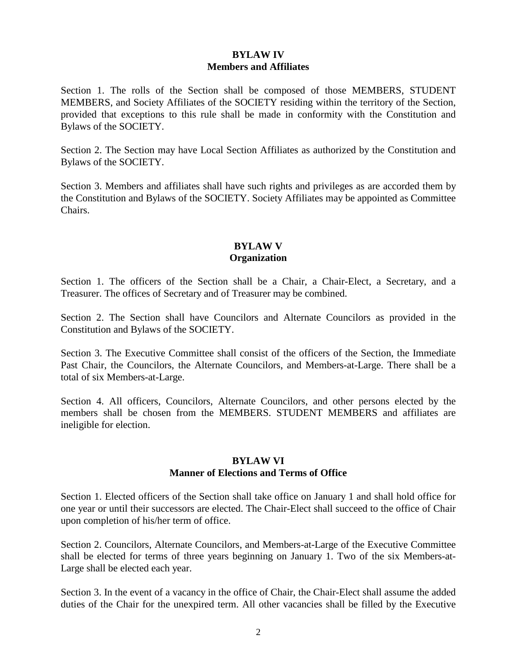## **BYLAW IV Members and Affiliates**

Section 1. The rolls of the Section shall be composed of those MEMBERS, STUDENT MEMBERS, and Society Affiliates of the SOCIETY residing within the territory of the Section, provided that exceptions to this rule shall be made in conformity with the Constitution and Bylaws of the SOCIETY.

Section 2. The Section may have Local Section Affiliates as authorized by the Constitution and Bylaws of the SOCIETY.

Section 3. Members and affiliates shall have such rights and privileges as are accorded them by the Constitution and Bylaws of the SOCIETY. Society Affiliates may be appointed as Committee Chairs.

## **BYLAW V Organization**

Section 1. The officers of the Section shall be a Chair, a Chair-Elect, a Secretary, and a Treasurer. The offices of Secretary and of Treasurer may be combined.

Section 2. The Section shall have Councilors and Alternate Councilors as provided in the Constitution and Bylaws of the SOCIETY.

Section 3. The Executive Committee shall consist of the officers of the Section, the Immediate Past Chair, the Councilors, the Alternate Councilors, and Members-at-Large. There shall be a total of six Members-at-Large.

Section 4. All officers, Councilors, Alternate Councilors, and other persons elected by the members shall be chosen from the MEMBERS. STUDENT MEMBERS and affiliates are ineligible for election.

#### **BYLAW VI Manner of Elections and Terms of Office**

Section 1. Elected officers of the Section shall take office on January 1 and shall hold office for one year or until their successors are elected. The Chair-Elect shall succeed to the office of Chair upon completion of his/her term of office.

Section 2. Councilors, Alternate Councilors, and Members-at-Large of the Executive Committee shall be elected for terms of three years beginning on January 1. Two of the six Members-at-Large shall be elected each year.

Section 3. In the event of a vacancy in the office of Chair, the Chair-Elect shall assume the added duties of the Chair for the unexpired term. All other vacancies shall be filled by the Executive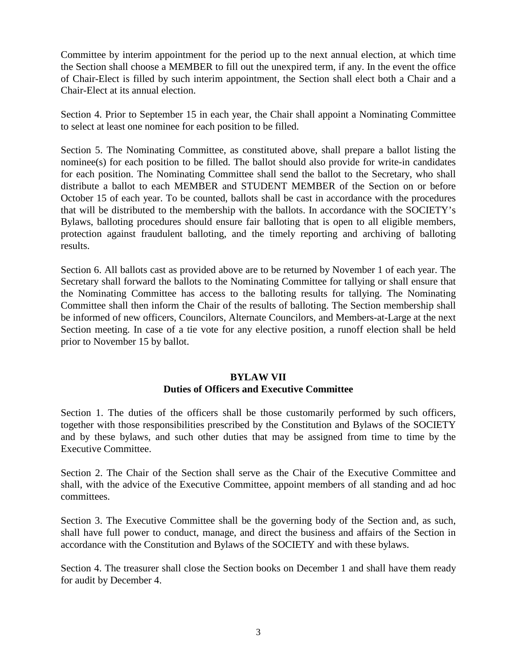Committee by interim appointment for the period up to the next annual election, at which time the Section shall choose a MEMBER to fill out the unexpired term, if any. In the event the office of Chair-Elect is filled by such interim appointment, the Section shall elect both a Chair and a Chair-Elect at its annual election.

Section 4. Prior to September 15 in each year, the Chair shall appoint a Nominating Committee to select at least one nominee for each position to be filled.

Section 5. The Nominating Committee, as constituted above, shall prepare a ballot listing the nominee(s) for each position to be filled. The ballot should also provide for write-in candidates for each position. The Nominating Committee shall send the ballot to the Secretary, who shall distribute a ballot to each MEMBER and STUDENT MEMBER of the Section on or before October 15 of each year. To be counted, ballots shall be cast in accordance with the procedures that will be distributed to the membership with the ballots. In accordance with the SOCIETY's Bylaws, balloting procedures should ensure fair balloting that is open to all eligible members, protection against fraudulent balloting, and the timely reporting and archiving of balloting results.

Section 6. All ballots cast as provided above are to be returned by November 1 of each year. The Secretary shall forward the ballots to the Nominating Committee for tallying or shall ensure that the Nominating Committee has access to the balloting results for tallying. The Nominating Committee shall then inform the Chair of the results of balloting. The Section membership shall be informed of new officers, Councilors, Alternate Councilors, and Members-at-Large at the next Section meeting. In case of a tie vote for any elective position, a runoff election shall be held prior to November 15 by ballot.

## **BYLAW VII Duties of Officers and Executive Committee**

Section 1. The duties of the officers shall be those customarily performed by such officers, together with those responsibilities prescribed by the Constitution and Bylaws of the SOCIETY and by these bylaws, and such other duties that may be assigned from time to time by the Executive Committee.

Section 2. The Chair of the Section shall serve as the Chair of the Executive Committee and shall, with the advice of the Executive Committee, appoint members of all standing and ad hoc committees.

Section 3. The Executive Committee shall be the governing body of the Section and, as such, shall have full power to conduct, manage, and direct the business and affairs of the Section in accordance with the Constitution and Bylaws of the SOCIETY and with these bylaws.

Section 4. The treasurer shall close the Section books on December 1 and shall have them ready for audit by December 4.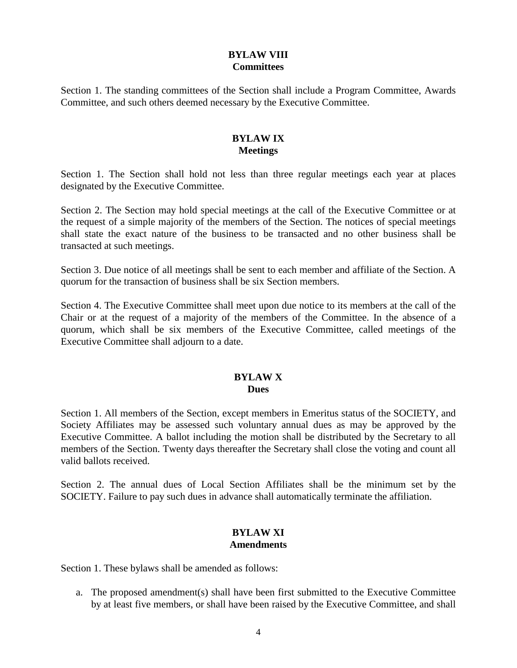## **BYLAW VIII Committees**

Section 1. The standing committees of the Section shall include a Program Committee, Awards Committee, and such others deemed necessary by the Executive Committee.

## **BYLAW IX Meetings**

Section 1. The Section shall hold not less than three regular meetings each year at places designated by the Executive Committee.

Section 2. The Section may hold special meetings at the call of the Executive Committee or at the request of a simple majority of the members of the Section. The notices of special meetings shall state the exact nature of the business to be transacted and no other business shall be transacted at such meetings.

Section 3. Due notice of all meetings shall be sent to each member and affiliate of the Section. A quorum for the transaction of business shall be six Section members.

Section 4. The Executive Committee shall meet upon due notice to its members at the call of the Chair or at the request of a majority of the members of the Committee. In the absence of a quorum, which shall be six members of the Executive Committee, called meetings of the Executive Committee shall adjourn to a date.

# **BYLAW X**

# **Dues**

Section 1. All members of the Section, except members in Emeritus status of the SOCIETY, and Society Affiliates may be assessed such voluntary annual dues as may be approved by the Executive Committee. A ballot including the motion shall be distributed by the Secretary to all members of the Section. Twenty days thereafter the Secretary shall close the voting and count all valid ballots received.

Section 2. The annual dues of Local Section Affiliates shall be the minimum set by the SOCIETY. Failure to pay such dues in advance shall automatically terminate the affiliation.

#### **BYLAW XI Amendments**

Section 1. These bylaws shall be amended as follows:

a. The proposed amendment(s) shall have been first submitted to the Executive Committee by at least five members, or shall have been raised by the Executive Committee, and shall